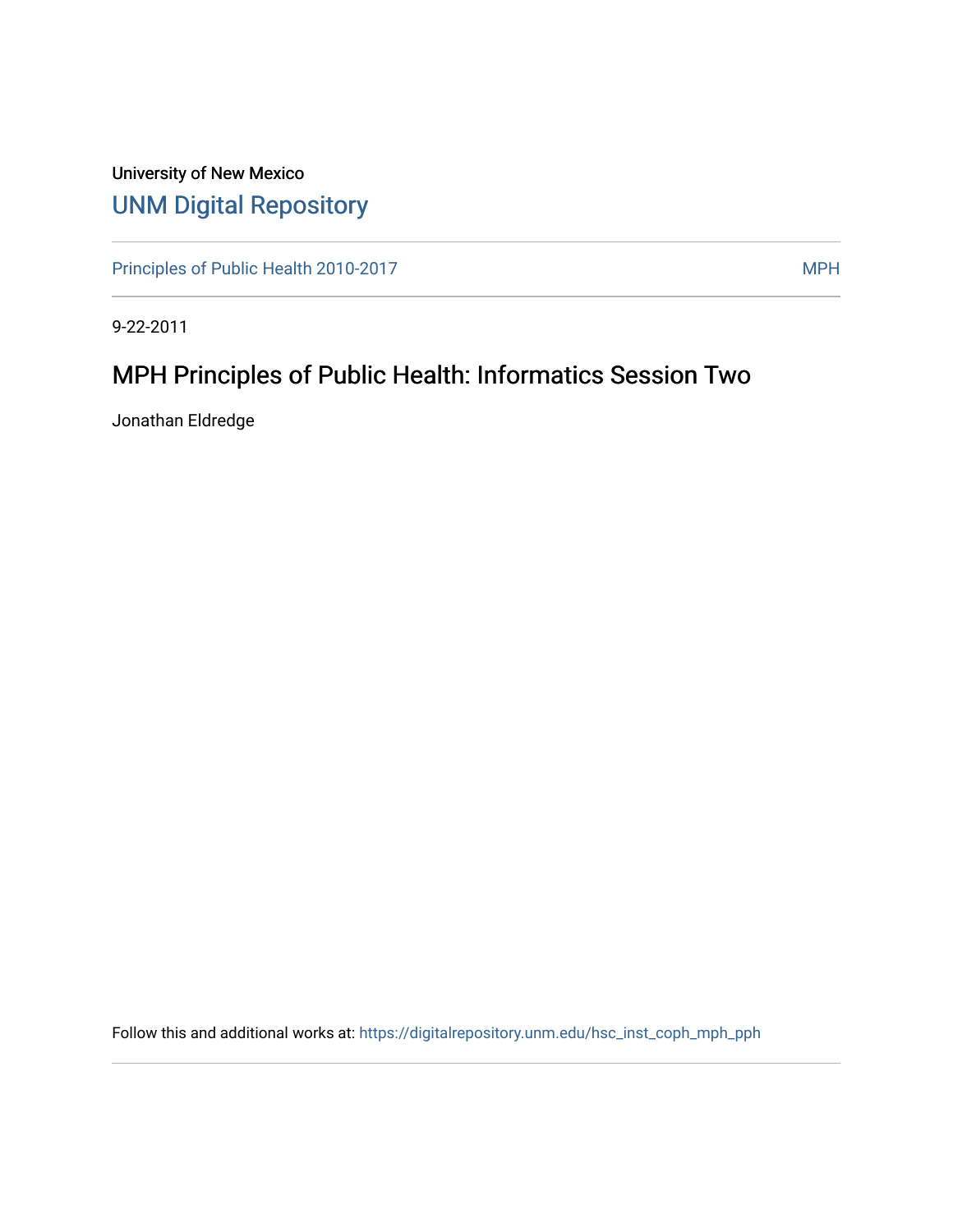# University of New Mexico [UNM Digital Repository](https://digitalrepository.unm.edu/)

[Principles of Public Health 2010-2017](https://digitalrepository.unm.edu/hsc_inst_coph_mph_pph) MPH

9-22-2011

# MPH Principles of Public Health: Informatics Session Two

Jonathan Eldredge

Follow this and additional works at: [https://digitalrepository.unm.edu/hsc\\_inst\\_coph\\_mph\\_pph](https://digitalrepository.unm.edu/hsc_inst_coph_mph_pph?utm_source=digitalrepository.unm.edu%2Fhsc_inst_coph_mph_pph%2F9&utm_medium=PDF&utm_campaign=PDFCoverPages)